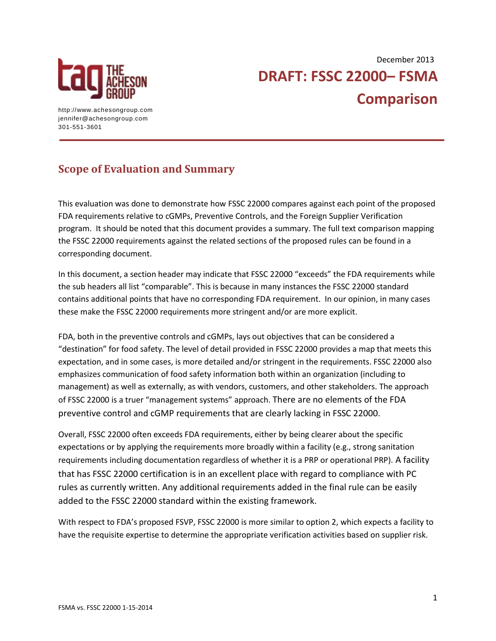

**DRAFT: FSSC 22000– FSMA Comparison**  December 2013

http://www.achesongroup.com jennifer@achesongroup.com 301-551-3601

## **Scope of Evaluation and Summary**

This evaluation was done to demonstrate how FSSC 22000 compares against each point of the proposed FDA requirements relative to cGMPs, Preventive Controls, and the Foreign Supplier Verification program. It should be noted that this document provides a summary. The full text comparison mapping the FSSC 22000 requirements against the related sections of the proposed rules can be found in a corresponding document.

In this document, a section header may indicate that FSSC 22000 "exceeds" the FDA requirements while the sub headers all list "comparable". This is because in many instances the FSSC 22000 standard contains additional points that have no corresponding FDA requirement. In our opinion, in many cases these make the FSSC 22000 requirements more stringent and/or are more explicit.

FDA, both in the preventive controls and cGMPs, lays out objectives that can be considered a "destination" for food safety. The level of detail provided in FSSC 22000 provides a map that meets this expectation, and in some cases, is more detailed and/or stringent in the requirements. FSSC 22000 also emphasizes communication of food safety information both within an organization (including to management) as well as externally, as with vendors, customers, and other stakeholders. The approach of FSSC 22000 is a truer "management systems" approach. There are no elements of the FDA preventive control and cGMP requirements that are clearly lacking in FSSC 22000.

Overall, FSSC 22000 often exceeds FDA requirements, either by being clearer about the specific expectations or by applying the requirements more broadly within a facility (e.g., strong sanitation requirements including documentation regardless of whether it is a PRP or operational PRP). A facility that has FSSC 22000 certification is in an excellent place with regard to compliance with PC rules as currently written. Any additional requirements added in the final rule can be easily added to the FSSC 22000 standard within the existing framework.

With respect to FDA's proposed FSVP, FSSC 22000 is more similar to option 2, which expects a facility to have the requisite expertise to determine the appropriate verification activities based on supplier risk.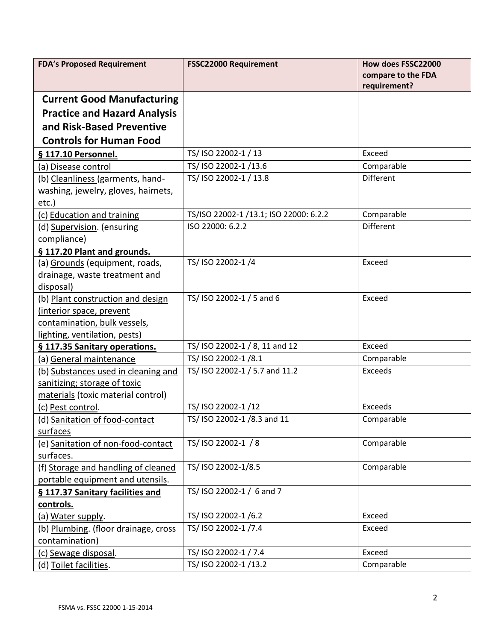| <b>FDA's Proposed Requirement</b>    | <b>FSSC22000 Requirement</b>           | How does FSSC22000 |
|--------------------------------------|----------------------------------------|--------------------|
|                                      |                                        | compare to the FDA |
|                                      |                                        | requirement?       |
| <b>Current Good Manufacturing</b>    |                                        |                    |
| <b>Practice and Hazard Analysis</b>  |                                        |                    |
| and Risk-Based Preventive            |                                        |                    |
| <b>Controls for Human Food</b>       |                                        |                    |
| § 117.10 Personnel.                  | TS/ ISO 22002-1 / 13                   | Exceed             |
| (a) <u>Disease control</u>           | TS/ ISO 22002-1 /13.6                  | Comparable         |
| (b) Cleanliness (garments, hand-     | TS/ ISO 22002-1 / 13.8                 | <b>Different</b>   |
| washing, jewelry, gloves, hairnets,  |                                        |                    |
| etc.)                                |                                        |                    |
| (c) Education and training           | TS/ISO 22002-1 /13.1; ISO 22000: 6.2.2 | Comparable         |
| (d) Supervision. (ensuring           | ISO 22000: 6.2.2                       | <b>Different</b>   |
| compliance)                          |                                        |                    |
| § 117.20 Plant and grounds.          |                                        |                    |
| (a) Grounds (equipment, roads,       | TS/ ISO 22002-1/4                      | Exceed             |
| drainage, waste treatment and        |                                        |                    |
| disposal)                            |                                        |                    |
| (b) Plant construction and design    | TS/ ISO 22002-1 / 5 and 6              | Exceed             |
| (interior space, prevent             |                                        |                    |
| contamination, bulk vessels,         |                                        |                    |
| lighting, ventilation, pests)        |                                        |                    |
| § 117.35 Sanitary operations.        | TS/ ISO 22002-1 / 8, 11 and 12         | Exceed             |
| (a) General maintenance              | TS/ ISO 22002-1 /8.1                   | Comparable         |
| (b) Substances used in cleaning and  | TS/ ISO 22002-1 / 5.7 and 11.2         | Exceeds            |
| sanitizing; storage of toxic         |                                        |                    |
| materials (toxic material control)   |                                        |                    |
| (c) Pest control.                    | TS/ ISO 22002-1/12                     | Exceeds            |
| (d) Sanitation of food-contact       | TS/ ISO 22002-1 /8.3 and 11            | Comparable         |
| <u>surfaces</u>                      |                                        |                    |
| (e) Sanitation of non-food-contact   | TS/ ISO 22002-1 / 8                    | Comparable         |
| surfaces.                            |                                        |                    |
| (f) Storage and handling of cleaned  | TS/ ISO 22002-1/8.5                    | Comparable         |
| portable equipment and utensils.     |                                        |                    |
| § 117.37 Sanitary facilities and     | TS/ISO 22002-1 / 6 and 7               |                    |
| controls.                            |                                        |                    |
| (a) Water supply.                    | TS/ ISO 22002-1/6.2                    | Exceed             |
| (b) Plumbing. (floor drainage, cross | TS/ ISO 22002-1/7.4                    | Exceed             |
| contamination)                       |                                        |                    |
| (c) <u>Sewage disposal</u> .         | TS/ ISO 22002-1 / 7.4                  | Exceed             |
| (d) Toilet facilities.               | TS/ ISO 22002-1 /13.2                  | Comparable         |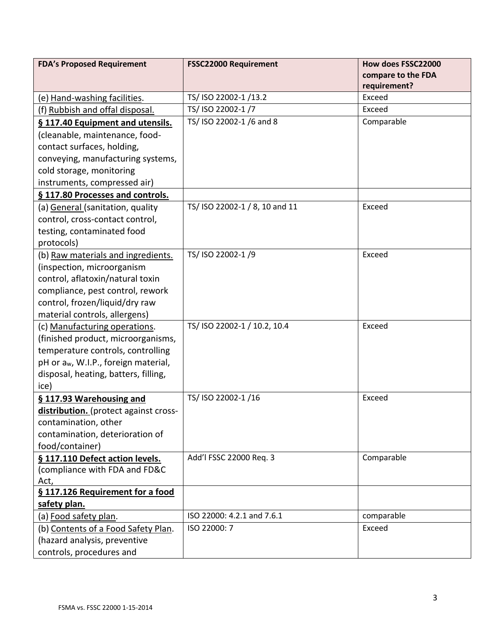| <b>FDA's Proposed Requirement</b>                | <b>FSSC22000 Requirement</b>   | How does FSSC22000     |
|--------------------------------------------------|--------------------------------|------------------------|
|                                                  |                                | compare to the FDA     |
|                                                  | TS/ ISO 22002-1/13.2           | requirement?<br>Exceed |
| (e) Hand-washing facilities.                     | TS/ ISO 22002-1 /7             | Exceed                 |
| (f) Rubbish and offal disposal.                  |                                |                        |
| § 117.40 Equipment and utensils.                 | TS/ ISO 22002-1 /6 and 8       | Comparable             |
| (cleanable, maintenance, food-                   |                                |                        |
| contact surfaces, holding,                       |                                |                        |
| conveying, manufacturing systems,                |                                |                        |
| cold storage, monitoring                         |                                |                        |
| instruments, compressed air)                     |                                |                        |
| § 117.80 Processes and controls.                 |                                |                        |
| (a) General (sanitation, quality                 | TS/ ISO 22002-1 / 8, 10 and 11 | Exceed                 |
| control, cross-contact control,                  |                                |                        |
| testing, contaminated food                       |                                |                        |
| protocols)                                       |                                |                        |
| (b) Raw materials and ingredients.               | TS/ ISO 22002-1 /9             | Exceed                 |
| (inspection, microorganism                       |                                |                        |
| control, aflatoxin/natural toxin                 |                                |                        |
| compliance, pest control, rework                 |                                |                        |
| control, frozen/liquid/dry raw                   |                                |                        |
| material controls, allergens)                    |                                |                        |
| (c) Manufacturing operations.                    | TS/ISO 22002-1 / 10.2, 10.4    | Exceed                 |
| (finished product, microorganisms,               |                                |                        |
| temperature controls, controlling                |                                |                        |
| pH or a <sub>w</sub> , W.I.P., foreign material, |                                |                        |
| disposal, heating, batters, filling,             |                                |                        |
| ice)                                             |                                |                        |
| §117.93 Warehousing and                          | TS/ ISO 22002-1 /16            | Exceed                 |
| distribution. (protect against cross-            |                                |                        |
| contamination, other                             |                                |                        |
| contamination, deterioration of                  |                                |                        |
| food/container)                                  |                                |                        |
| § 117.110 Defect action levels.                  | Add'l FSSC 22000 Req. 3        | Comparable             |
| (compliance with FDA and FD&C                    |                                |                        |
| Act,                                             |                                |                        |
| § 117.126 Requirement for a food                 |                                |                        |
| safety plan.                                     |                                |                        |
| (a) Food safety plan.                            | ISO 22000: 4.2.1 and 7.6.1     | comparable             |
| (b) Contents of a Food Safety Plan.              | ISO 22000: 7                   | Exceed                 |
| (hazard analysis, preventive                     |                                |                        |
| controls, procedures and                         |                                |                        |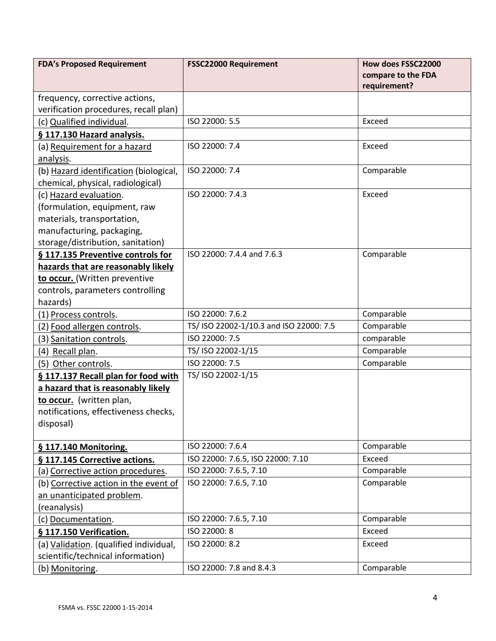| <b>FDA's Proposed Requirement</b>      | <b>FSSC22000 Requirement</b>            | How does FSSC22000 |
|----------------------------------------|-----------------------------------------|--------------------|
|                                        |                                         | compare to the FDA |
|                                        |                                         | requirement?       |
| frequency, corrective actions,         |                                         |                    |
| verification procedures, recall plan)  |                                         |                    |
| (c) Qualified individual.              | ISO 22000: 5.5                          | Exceed             |
| § 117.130 Hazard analysis.             |                                         |                    |
| (a) Requirement for a hazard           | ISO 22000: 7.4                          | Exceed             |
| analysis.                              |                                         |                    |
| (b) Hazard identification (biological, | ISO 22000: 7.4                          | Comparable         |
| chemical, physical, radiological)      |                                         |                    |
| (c) Hazard evaluation.                 | ISO 22000: 7.4.3                        | Exceed             |
| (formulation, equipment, raw           |                                         |                    |
| materials, transportation,             |                                         |                    |
| manufacturing, packaging,              |                                         |                    |
| storage/distribution, sanitation)      |                                         |                    |
| § 117.135 Preventive controls for      | ISO 22000: 7.4.4 and 7.6.3              | Comparable         |
| hazards that are reasonably likely     |                                         |                    |
| to occur. (Written preventive          |                                         |                    |
| controls, parameters controlling       |                                         |                    |
| hazards)                               |                                         |                    |
| (1) Process controls.                  | ISO 22000: 7.6.2                        | Comparable         |
| (2) Food allergen controls.            | TS/ ISO 22002-1/10.3 and ISO 22000: 7.5 | Comparable         |
| (3) Sanitation controls.               | ISO 22000: 7.5                          | comparable         |
| (4) Recall plan.                       | TS/ ISO 22002-1/15                      | Comparable         |
| (5) Other controls.                    | ISO 22000: 7.5                          | Comparable         |
| § 117.137 Recall plan for food with    | TS/ ISO 22002-1/15                      |                    |
| a hazard that is reasonably likely     |                                         |                    |
| to occur. (written plan,               |                                         |                    |
| notifications, effectiveness checks,   |                                         |                    |
| disposal)                              |                                         |                    |
|                                        |                                         |                    |
| § 117.140 Monitoring.                  | ISO 22000: 7.6.4                        | Comparable         |
| § 117.145 Corrective actions.          | ISO 22000: 7.6.5, ISO 22000: 7.10       | Exceed             |
| (a) Corrective action procedures.      | ISO 22000: 7.6.5, 7.10                  | Comparable         |
| (b) Corrective action in the event of  | ISO 22000: 7.6.5, 7.10                  | Comparable         |
| an unanticipated problem.              |                                         |                    |
| (reanalysis)                           |                                         |                    |
| (c) Documentation.                     | ISO 22000: 7.6.5, 7.10                  | Comparable         |
| § 117.150 Verification.                | ISO 22000: 8                            | Exceed             |
| (a) Validation. (qualified individual, | ISO 22000: 8.2                          | Exceed             |
| scientific/technical information)      |                                         |                    |
| (b) Monitoring.                        | ISO 22000: 7.8 and 8.4.3                | Comparable         |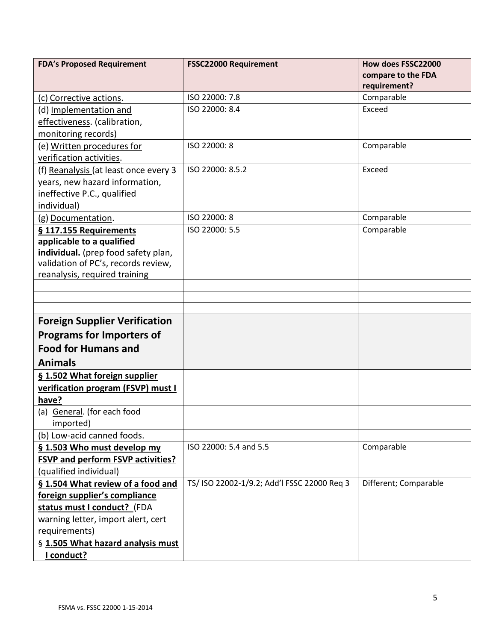| <b>FDA's Proposed Requirement</b>        | <b>FSSC22000 Requirement</b>                | How does FSSC22000    |
|------------------------------------------|---------------------------------------------|-----------------------|
|                                          |                                             | compare to the FDA    |
|                                          |                                             | requirement?          |
| (c) Corrective actions.                  | ISO 22000: 7.8                              | Comparable            |
| (d) Implementation and                   | ISO 22000: 8.4                              | Exceed                |
| effectiveness. (calibration,             |                                             |                       |
| monitoring records)                      |                                             |                       |
| (e) Written procedures for               | ISO 22000: 8                                | Comparable            |
| verification activities.                 |                                             |                       |
| (f) Reanalysis (at least once every 3    | ISO 22000: 8.5.2                            | Exceed                |
| years, new hazard information,           |                                             |                       |
| ineffective P.C., qualified              |                                             |                       |
| individual)                              |                                             |                       |
| (g) Documentation.                       | ISO 22000: 8                                | Comparable            |
| § 117.155 Requirements                   | ISO 22000: 5.5                              | Comparable            |
| applicable to a qualified                |                                             |                       |
| individual. (prep food safety plan,      |                                             |                       |
| validation of PC's, records review,      |                                             |                       |
| reanalysis, required training            |                                             |                       |
|                                          |                                             |                       |
|                                          |                                             |                       |
|                                          |                                             |                       |
| <b>Foreign Supplier Verification</b>     |                                             |                       |
| <b>Programs for Importers of</b>         |                                             |                       |
| <b>Food for Humans and</b>               |                                             |                       |
| <b>Animals</b>                           |                                             |                       |
| § 1.502 What foreign supplier            |                                             |                       |
| verification program (FSVP) must I       |                                             |                       |
| have?                                    |                                             |                       |
| (a) General. (for each food              |                                             |                       |
| imported)                                |                                             |                       |
| (b) Low-acid canned foods.               |                                             |                       |
| § 1.503 Who must develop my              | ISO 22000: 5.4 and 5.5                      | Comparable            |
| <b>FSVP and perform FSVP activities?</b> |                                             |                       |
| (qualified individual)                   |                                             |                       |
| §1.504 What review of a food and         | TS/ ISO 22002-1/9.2; Add'l FSSC 22000 Req 3 | Different; Comparable |
| foreign supplier's compliance            |                                             |                       |
| status must I conduct? (FDA              |                                             |                       |
| warning letter, import alert, cert       |                                             |                       |
| requirements)                            |                                             |                       |
| § 1.505 What hazard analysis must        |                                             |                       |
| I conduct?                               |                                             |                       |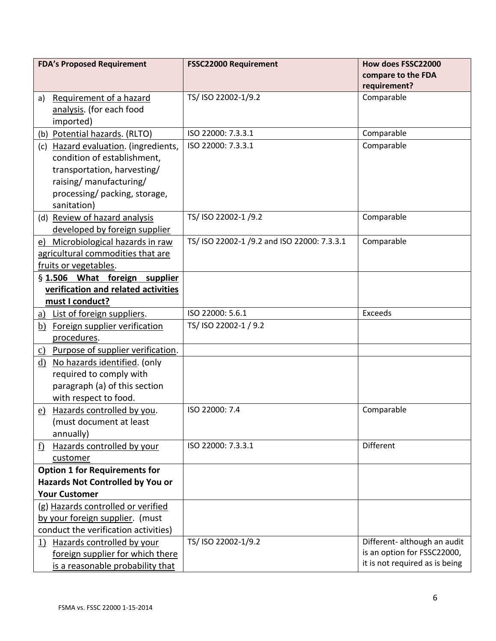|           | <b>FDA's Proposed Requirement</b>    | <b>FSSC22000 Requirement</b>                | How does FSSC22000             |
|-----------|--------------------------------------|---------------------------------------------|--------------------------------|
|           |                                      |                                             | compare to the FDA             |
|           |                                      |                                             | requirement?                   |
| a)        | Requirement of a hazard              | TS/ ISO 22002-1/9.2                         | Comparable                     |
|           | analysis. (for each food             |                                             |                                |
|           | imported)                            |                                             |                                |
|           | (b) Potential hazards. (RLTO)        | ISO 22000: 7.3.3.1                          | Comparable                     |
|           | (c) Hazard evaluation. (ingredients, | ISO 22000: 7.3.3.1                          | Comparable                     |
|           | condition of establishment,          |                                             |                                |
|           | transportation, harvesting/          |                                             |                                |
|           | raising/ manufacturing/              |                                             |                                |
|           | processing/packing, storage,         |                                             |                                |
|           | sanitation)                          |                                             |                                |
|           | (d) Review of hazard analysis        | TS/ ISO 22002-1 /9.2                        | Comparable                     |
|           | developed by foreign supplier        |                                             |                                |
|           | e) Microbiological hazards in raw    | TS/ ISO 22002-1 /9.2 and ISO 22000: 7.3.3.1 | Comparable                     |
|           | agricultural commodities that are    |                                             |                                |
|           | fruits or vegetables.                |                                             |                                |
|           | § 1.506 What foreign supplier        |                                             |                                |
|           | verification and related activities  |                                             |                                |
|           | must I conduct?                      |                                             |                                |
|           | a) List of foreign suppliers.        | ISO 22000: 5.6.1                            | Exceeds                        |
|           | b) Foreign supplier verification     | TS/ ISO 22002-1 / 9.2                       |                                |
|           | procedures.                          |                                             |                                |
|           | c) Purpose of supplier verification. |                                             |                                |
|           | d) No hazards identified. (only      |                                             |                                |
|           | required to comply with              |                                             |                                |
|           | paragraph (a) of this section        |                                             |                                |
|           | with respect to food.                |                                             |                                |
|           | e) Hazards controlled by you.        | ISO 22000: 7.4                              | Comparable                     |
|           | (must document at least              |                                             |                                |
|           | annually)                            |                                             |                                |
| <u>f)</u> | Hazards controlled by your           | ISO 22000: 7.3.3.1                          | <b>Different</b>               |
|           | customer                             |                                             |                                |
|           | <b>Option 1 for Requirements for</b> |                                             |                                |
|           | Hazards Not Controlled by You or     |                                             |                                |
|           | <b>Your Customer</b>                 |                                             |                                |
|           | (g) Hazards controlled or verified   |                                             |                                |
|           | by your foreign supplier. (must      |                                             |                                |
|           | conduct the verification activities) |                                             |                                |
|           | 1) Hazards controlled by your        | TS/ ISO 22002-1/9.2                         | Different- although an audit   |
|           | foreign supplier for which there     |                                             | is an option for FSSC22000,    |
|           | is a reasonable probability that     |                                             | it is not required as is being |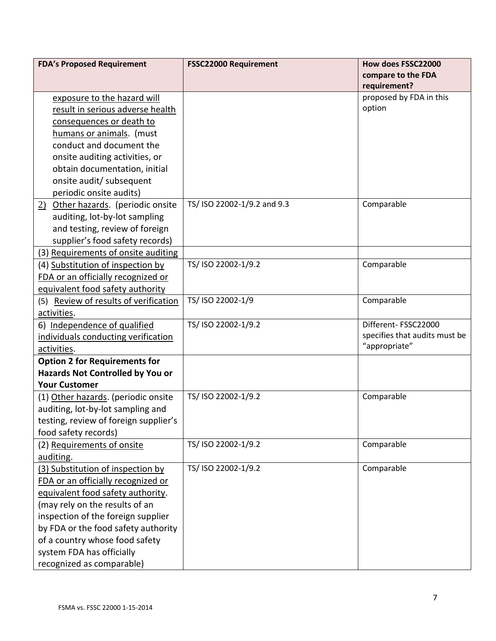| <b>FDA's Proposed Requirement</b>     | <b>FSSC22000 Requirement</b> | How does FSSC22000            |
|---------------------------------------|------------------------------|-------------------------------|
|                                       |                              | compare to the FDA            |
|                                       |                              | requirement?                  |
| exposure to the hazard will           |                              | proposed by FDA in this       |
| result in serious adverse health      |                              | option                        |
| consequences or death to              |                              |                               |
| humans or animals. (must              |                              |                               |
| conduct and document the              |                              |                               |
| onsite auditing activities, or        |                              |                               |
| obtain documentation, initial         |                              |                               |
| onsite audit/ subsequent              |                              |                               |
| periodic onsite audits)               |                              |                               |
| 2) Other hazards. (periodic onsite    | TS/ ISO 22002-1/9.2 and 9.3  | Comparable                    |
| auditing, lot-by-lot sampling         |                              |                               |
| and testing, review of foreign        |                              |                               |
| supplier's food safety records)       |                              |                               |
| (3) Requirements of onsite auditing   |                              |                               |
| (4) Substitution of inspection by     | TS/ ISO 22002-1/9.2          | Comparable                    |
| FDA or an officially recognized or    |                              |                               |
| equivalent food safety authority      |                              |                               |
| (5) Review of results of verification | TS/ ISO 22002-1/9            | Comparable                    |
| activities.                           |                              |                               |
| 6) Independence of qualified          | TS/ ISO 22002-1/9.2          | Different-FSSC22000           |
| individuals conducting verification   |                              | specifies that audits must be |
| activities.                           |                              | "appropriate"                 |
| <b>Option 2 for Requirements for</b>  |                              |                               |
| Hazards Not Controlled by You or      |                              |                               |
| <b>Your Customer</b>                  |                              |                               |
| (1) Other hazards. (periodic onsite   | TS/ ISO 22002-1/9.2          | Comparable                    |
| auditing, lot-by-lot sampling and     |                              |                               |
| testing, review of foreign supplier's |                              |                               |
| food safety records)                  |                              |                               |
| (2) Requirements of onsite            | TS/ ISO 22002-1/9.2          | Comparable                    |
| auditing.                             |                              |                               |
| (3) Substitution of inspection by     | TS/ ISO 22002-1/9.2          | Comparable                    |
| FDA or an officially recognized or    |                              |                               |
| equivalent food safety authority.     |                              |                               |
| (may rely on the results of an        |                              |                               |
| inspection of the foreign supplier    |                              |                               |
| by FDA or the food safety authority   |                              |                               |
| of a country whose food safety        |                              |                               |
| system FDA has officially             |                              |                               |
| recognized as comparable)             |                              |                               |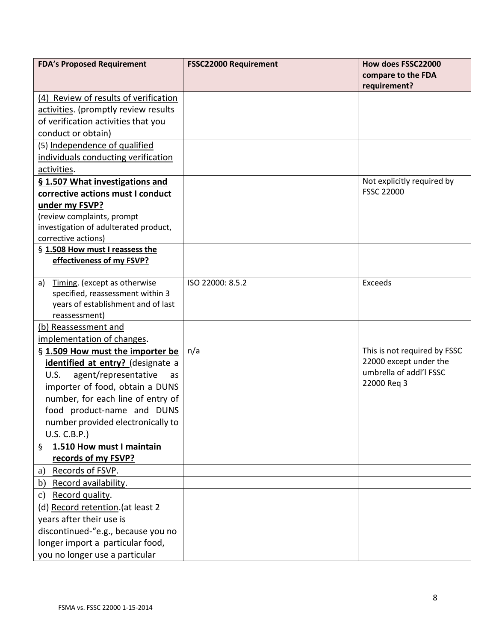| <b>FDA's Proposed Requirement</b>         | <b>FSSC22000 Requirement</b> | How does FSSC22000           |
|-------------------------------------------|------------------------------|------------------------------|
|                                           |                              | compare to the FDA           |
|                                           |                              | requirement?                 |
| (4) Review of results of verification     |                              |                              |
| activities. (promptly review results      |                              |                              |
| of verification activities that you       |                              |                              |
| conduct or obtain)                        |                              |                              |
| (5) Independence of qualified             |                              |                              |
| individuals conducting verification       |                              |                              |
| activities.                               |                              |                              |
| § 1.507 What investigations and           |                              | Not explicitly required by   |
| corrective actions must I conduct         |                              | <b>FSSC 22000</b>            |
| under my FSVP?                            |                              |                              |
| (review complaints, prompt                |                              |                              |
| investigation of adulterated product,     |                              |                              |
| corrective actions)                       |                              |                              |
| § 1.508 How must I reassess the           |                              |                              |
| effectiveness of my FSVP?                 |                              |                              |
| Timing. (except as otherwise<br>a)        | ISO 22000: 8.5.2             | Exceeds                      |
| specified, reassessment within 3          |                              |                              |
| years of establishment and of last        |                              |                              |
| reassessment)                             |                              |                              |
| (b) Reassessment and                      |                              |                              |
| implementation of changes.                |                              |                              |
| § 1.509 How must the importer be          | n/a                          | This is not required by FSSC |
| identified at entry? (designate a         |                              | 22000 except under the       |
| agent/representative<br><b>U.S.</b><br>as |                              | umbrella of addl'l FSSC      |
| importer of food, obtain a DUNS           |                              | 22000 Reg 3                  |
| number, for each line of entry of         |                              |                              |
| food product-name and DUNS                |                              |                              |
| number provided electronically to         |                              |                              |
| U.S. C.B.P.)                              |                              |                              |
| 1.510 How must I maintain<br>$\S$         |                              |                              |
| records of my FSVP?                       |                              |                              |
| Records of FSVP.<br>a)                    |                              |                              |
| b) Record availability.                   |                              |                              |
| Record quality.<br>$\mathbf{c})$          |                              |                              |
| (d) Record retention. (at least 2         |                              |                              |
| years after their use is                  |                              |                              |
| discontinued-"e.g., because you no        |                              |                              |
| longer import a particular food,          |                              |                              |
| you no longer use a particular            |                              |                              |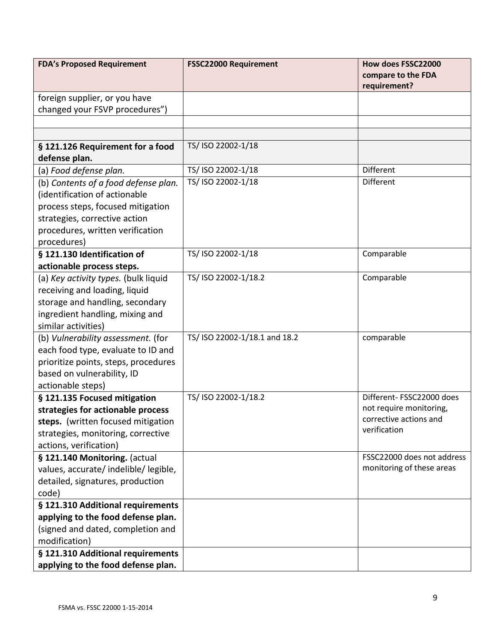| <b>FDA's Proposed Requirement</b>                                      | <b>FSSC22000 Requirement</b>  | How does FSSC22000                                |
|------------------------------------------------------------------------|-------------------------------|---------------------------------------------------|
|                                                                        |                               | compare to the FDA<br>requirement?                |
| foreign supplier, or you have                                          |                               |                                                   |
| changed your FSVP procedures")                                         |                               |                                                   |
|                                                                        |                               |                                                   |
|                                                                        |                               |                                                   |
| § 121.126 Requirement for a food<br>defense plan.                      | TS/ ISO 22002-1/18            |                                                   |
| (a) Food defense plan.                                                 | TS/ ISO 22002-1/18            | <b>Different</b>                                  |
| (b) Contents of a food defense plan.                                   | TS/ ISO 22002-1/18            | <b>Different</b>                                  |
| (identification of actionable                                          |                               |                                                   |
| process steps, focused mitigation                                      |                               |                                                   |
| strategies, corrective action                                          |                               |                                                   |
| procedures, written verification                                       |                               |                                                   |
| procedures)                                                            |                               |                                                   |
| § 121.130 Identification of                                            | TS/ ISO 22002-1/18            | Comparable                                        |
| actionable process steps.                                              |                               |                                                   |
| (a) Key activity types. (bulk liquid                                   | TS/ ISO 22002-1/18.2          | Comparable                                        |
| receiving and loading, liquid                                          |                               |                                                   |
| storage and handling, secondary                                        |                               |                                                   |
| ingredient handling, mixing and                                        |                               |                                                   |
| similar activities)                                                    |                               |                                                   |
| (b) Vulnerability assessment. (for                                     | TS/ ISO 22002-1/18.1 and 18.2 | comparable                                        |
| each food type, evaluate to ID and                                     |                               |                                                   |
| prioritize points, steps, procedures                                   |                               |                                                   |
| based on vulnerability, ID                                             |                               |                                                   |
| actionable steps)                                                      |                               |                                                   |
| § 121.135 Focused mitigation                                           | TS/ ISO 22002-1/18.2          | Different-FSSC22000 does                          |
| strategies for actionable process                                      |                               | not require monitoring,<br>corrective actions and |
| steps. (written focused mitigation                                     |                               | verification                                      |
| strategies, monitoring, corrective                                     |                               |                                                   |
| actions, verification)                                                 |                               | FSSC22000 does not address                        |
| § 121.140 Monitoring. (actual<br>values, accurate/ indelible/ legible, |                               | monitoring of these areas                         |
| detailed, signatures, production                                       |                               |                                                   |
| code)                                                                  |                               |                                                   |
| § 121.310 Additional requirements                                      |                               |                                                   |
| applying to the food defense plan.                                     |                               |                                                   |
| (signed and dated, completion and                                      |                               |                                                   |
| modification)                                                          |                               |                                                   |
| § 121.310 Additional requirements                                      |                               |                                                   |
| applying to the food defense plan.                                     |                               |                                                   |